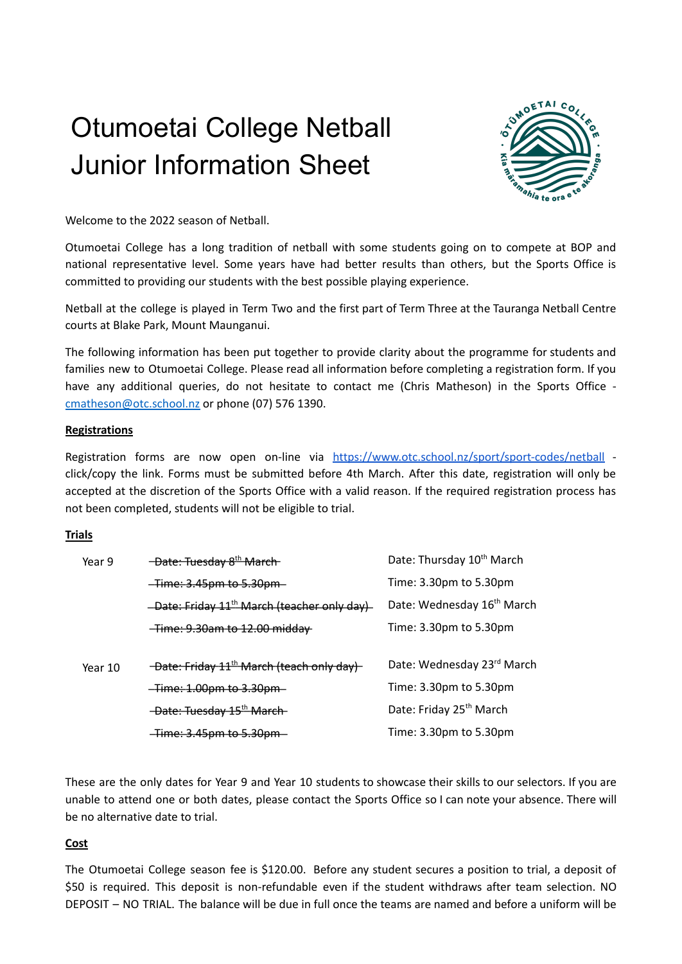# Otumoetai College Netball Junior Information Sheet



Welcome to the 2022 season of Netball.

Otumoetai College has a long tradition of netball with some students going on to compete at BOP and national representative level. Some years have had better results than others, but the Sports Office is committed to providing our students with the best possible playing experience.

Netball at the college is played in Term Two and the first part of Term Three at the Tauranga Netball Centre courts at Blake Park, Mount Maunganui.

The following information has been put together to provide clarity about the programme for students and families new to Otumoetai College. Please read all information before completing a registration form. If you have any additional queries, do not hesitate to contact me (Chris Matheson) in the Sports Office [cmatheson@otc.school.nz](mailto:cmatheson@otc.school.nz) or phone (07) 576 1390.

## **Registrations**

Registration forms are now open on-line via <https://www.otc.school.nz/sport/sport-codes/netball> click/copy the link. Forms must be submitted before 4th March. After this date, registration will only be accepted at the discretion of the Sports Office with a valid reason. If the required registration process has not been completed, students will not be eligible to trial.

#### **Trials**

| Year 9  | -Date: Tuesday 8 <sup>th</sup> March-                   | Date: Thursday 10 <sup>th</sup> March  |
|---------|---------------------------------------------------------|----------------------------------------|
|         | -Time: 3.45pm to 5.30pm                                 | Time: 3.30pm to 5.30pm                 |
|         | -Date: Friday 11 <sup>th</sup> March (teacher only day) | Date: Wednesday 16 <sup>th</sup> March |
|         | <del>-Time: 9.30am to 12.00 middav</del>                | Time: 3.30pm to 5.30pm                 |
|         |                                                         |                                        |
| Year 10 | -Date: Friday 11 <sup>th</sup> March (teach only day)   | Date: Wednesday 23rd March             |
|         | <del>-Time: 1.00pm to 3.30pm -</del>                    | Time: 3.30pm to 5.30pm                 |
|         | -Date: Tuesday 15 <sup>th</sup> March-                  | Date: Friday 25 <sup>th</sup> March    |
|         | -Time: 3.45pm to 5.30pm-                                | Time: 3.30pm to 5.30pm                 |

These are the only dates for Year 9 and Year 10 students to showcase their skills to our selectors. If you are unable to attend one or both dates, please contact the Sports Office so I can note your absence. There will be no alternative date to trial.

#### **Cost**

The Otumoetai College season fee is \$120.00. Before any student secures a position to trial, a deposit of \$50 is required. This deposit is non-refundable even if the student withdraws after team selection. NO DEPOSIT – NO TRIAL. The balance will be due in full once the teams are named and before a uniform will be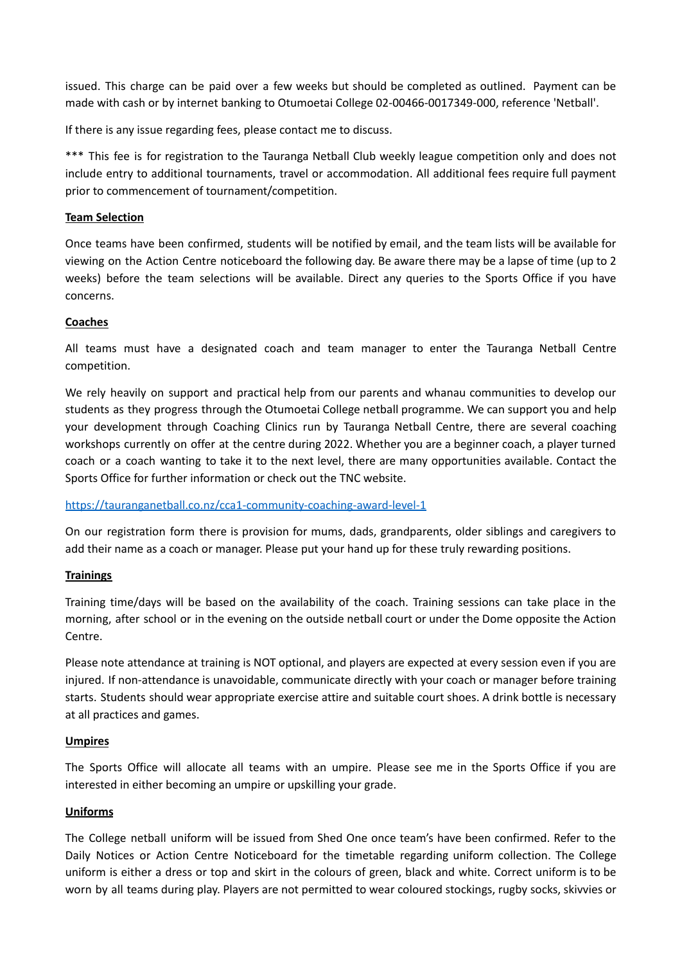issued. This charge can be paid over a few weeks but should be completed as outlined. Payment can be made with cash or by internet banking to Otumoetai College 02-00466-0017349-000, reference 'Netball'.

If there is any issue regarding fees, please contact me to discuss.

\*\*\* This fee is for registration to the Tauranga Netball Club weekly league competition only and does not include entry to additional tournaments, travel or accommodation. All additional fees require full payment prior to commencement of tournament/competition.

## **Team Selection**

Once teams have been confirmed, students will be notified by email, and the team lists will be available for viewing on the Action Centre noticeboard the following day. Be aware there may be a lapse of time (up to 2 weeks) before the team selections will be available. Direct any queries to the Sports Office if you have concerns.

## **Coaches**

All teams must have a designated coach and team manager to enter the Tauranga Netball Centre competition.

We rely heavily on support and practical help from our parents and whanau communities to develop our students as they progress through the Otumoetai College netball programme. We can support you and help your development through Coaching Clinics run by Tauranga Netball Centre, there are several coaching workshops currently on offer at the centre during 2022. Whether you are a beginner coach, a player turned coach or a coach wanting to take it to the next level, there are many opportunities available. Contact the Sports Office for further information or check out the TNC website.

<https://tauranganetball.co.nz/cca1-community-coaching-award-level-1>

On our registration form there is provision for mums, dads, grandparents, older siblings and caregivers to add their name as a coach or manager. Please put your hand up for these truly rewarding positions.

## **Trainings**

Training time/days will be based on the availability of the coach. Training sessions can take place in the morning, after school or in the evening on the outside netball court or under the Dome opposite the Action Centre.

Please note attendance at training is NOT optional, and players are expected at every session even if you are injured. If non-attendance is unavoidable, communicate directly with your coach or manager before training starts. Students should wear appropriate exercise attire and suitable court shoes. A drink bottle is necessary at all practices and games.

#### **Umpires**

The Sports Office will allocate all teams with an umpire. Please see me in the Sports Office if you are interested in either becoming an umpire or upskilling your grade.

#### **Uniforms**

The College netball uniform will be issued from Shed One once team's have been confirmed. Refer to the Daily Notices or Action Centre Noticeboard for the timetable regarding uniform collection. The College uniform is either a dress or top and skirt in the colours of green, black and white. Correct uniform is to be worn by all teams during play. Players are not permitted to wear coloured stockings, rugby socks, skivvies or